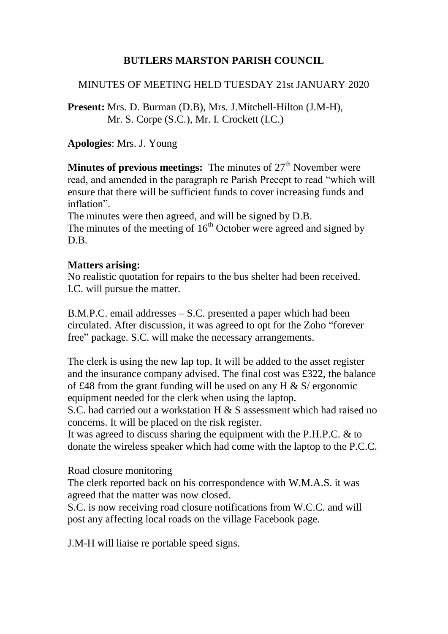# **BUTLERS MARSTON PARISH COUNCIL**

## MINUTES OF MEETING HELD TUESDAY 21st JANUARY 2020

**Present:** Mrs. D. Burman (D.B), Mrs. J.Mitchell-Hilton (J.M-H), Mr. S. Corpe (S.C.), Mr. I. Crockett (I.C.)

**Apologies**: Mrs. J. Young

**Minutes of previous meetings:** The minutes of 27<sup>th</sup> November were read, and amended in the paragraph re Parish Precept to read "which will ensure that there will be sufficient funds to cover increasing funds and inflation".

The minutes were then agreed, and will be signed by D.B. The minutes of the meeting of  $16<sup>th</sup>$  October were agreed and signed by D.B.

### **Matters arising:**

No realistic quotation for repairs to the bus shelter had been received. I.C. will pursue the matter.

B.M.P.C. email addresses – S.C. presented a paper which had been circulated. After discussion, it was agreed to opt for the Zoho "forever free" package. S.C. will make the necessary arrangements.

The clerk is using the new lap top. It will be added to the asset register and the insurance company advised. The final cost was £322, the balance of £48 from the grant funding will be used on any H  $\&$  S/ ergonomic equipment needed for the clerk when using the laptop.

S.C. had carried out a workstation H & S assessment which had raised no concerns. It will be placed on the risk register.

It was agreed to discuss sharing the equipment with the P.H.P.C. & to donate the wireless speaker which had come with the laptop to the P.C.C.

Road closure monitoring

The clerk reported back on his correspondence with W.M.A.S. it was agreed that the matter was now closed.

S.C. is now receiving road closure notifications from W.C.C. and will post any affecting local roads on the village Facebook page.

J.M-H will liaise re portable speed signs.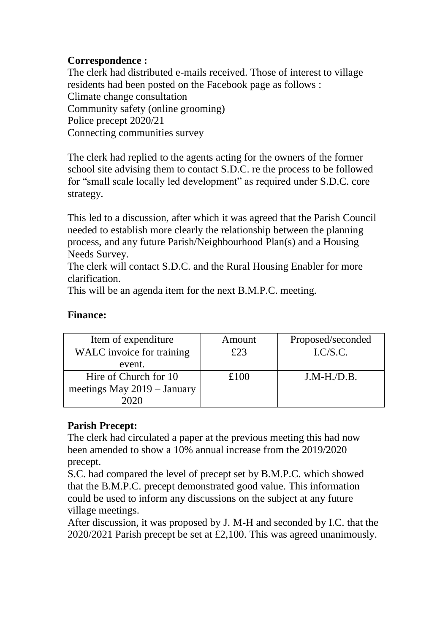# **Correspondence :**

The clerk had distributed e-mails received. Those of interest to village residents had been posted on the Facebook page as follows : Climate change consultation Community safety (online grooming) Police precept 2020/21 Connecting communities survey

The clerk had replied to the agents acting for the owners of the former school site advising them to contact S.D.C. re the process to be followed for "small scale locally led development" as required under S.D.C. core strategy.

This led to a discussion, after which it was agreed that the Parish Council needed to establish more clearly the relationship between the planning process, and any future Parish/Neighbourhood Plan(s) and a Housing Needs Survey.

The clerk will contact S.D.C. and the Rural Housing Enabler for more clarification.

This will be an agenda item for the next B.M.P.C. meeting.

## **Finance:**

| Item of expenditure         | Amount | Proposed/seconded   |
|-----------------------------|--------|---------------------|
| WALC invoice for training   | £23    | L <sub>C/S.C.</sub> |
| event.                      |        |                     |
| Hire of Church for 10       | £100   | $J.M-H.D.B.$        |
| meetings May 2019 - January |        |                     |
|                             |        |                     |

# **Parish Precept:**

The clerk had circulated a paper at the previous meeting this had now been amended to show a 10% annual increase from the 2019/2020 precept.

S.C. had compared the level of precept set by B.M.P.C. which showed that the B.M.P.C. precept demonstrated good value. This information could be used to inform any discussions on the subject at any future village meetings.

After discussion, it was proposed by J. M-H and seconded by I.C. that the 2020/2021 Parish precept be set at £2,100. This was agreed unanimously.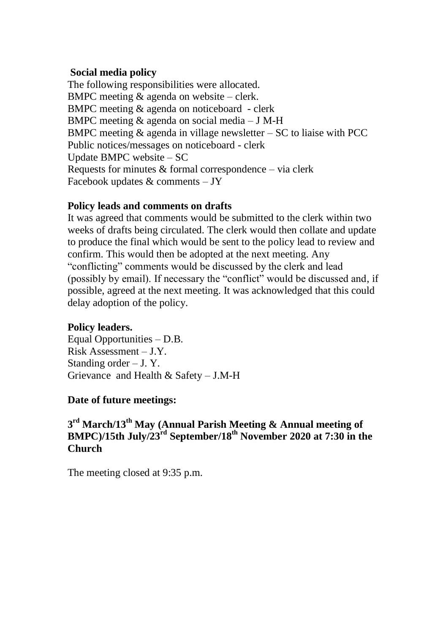#### **Social media policy**

The following responsibilities were allocated. BMPC meeting & agenda on website – clerk. BMPC meeting & agenda on noticeboard - clerk BMPC meeting & agenda on social media – J M-H BMPC meeting  $&$  agenda in village newsletter  $-SC$  to liaise with PCC Public notices/messages on noticeboard - clerk Update BMPC website – SC Requests for minutes  $&$  formal correspondence – via clerk Facebook updates  $&$  comments  $-$  JY

### **Policy leads and comments on drafts**

It was agreed that comments would be submitted to the clerk within two weeks of drafts being circulated. The clerk would then collate and update to produce the final which would be sent to the policy lead to review and confirm. This would then be adopted at the next meeting. Any "conflicting" comments would be discussed by the clerk and lead (possibly by email). If necessary the "conflict" would be discussed and, if possible, agreed at the next meeting. It was acknowledged that this could delay adoption of the policy.

# **Policy leaders.**

Equal Opportunities – D.B. Risk Assessment – J.Y. Standing order  $-$  J. Y. Grievance and Health & Safety – J.M-H

### **Date of future meetings:**

## **3 rd March/13th May (Annual Parish Meeting & Annual meeting of BMPC)/15th July/23rd September/18th November 2020 at 7:30 in the Church**

The meeting closed at 9:35 p.m.